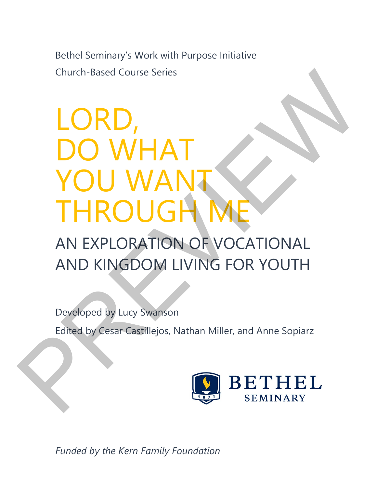Bethel Seminary's Work with Purpose Initiative Church-Based Course Series

## LORD, DO WHAT YOU WANT THROUGH Church-Based Course Series<br> **LORD,<br>
POU WANT**<br>
THROUGH ME<br>
AN EXPLORATION OF VOCATIONAL<br>
AND KINGDOM LIVING FOR YOUTH<br>
Developed by Lucy Swanson<br>
Edited by Cesar Castillejos, Nathan Miller, and Anne Sopiarz<br>
Edited by Cesa

### AN EXPLORATION OF VOCATIONAL AND KINGDOM LIVING FOR YOUTH

Developed by Lucy Swanson

Edited by Cesar Castillejos, Nathan Miller, and Anne Sopiarz



*Funded by the Kern Family Foundation*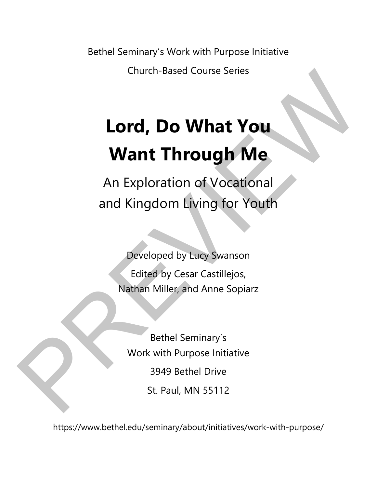Bethel Seminary's Work with Purpose Initiative

Church-Based Course Series

# **Lord, Do What You Want Through Me**  Church-Based Course Series<br> **Lord, Do What You**<br>
Want Through Me<br>
An Exploration of Vocational<br>
and Kingdom Living for Youth<br>
Peveloped by tucy Swanson<br>
Edited by Cesar Castillejos,<br>
Nathan Miller, and Anne Sopiarz<br>
Bethel

An Exploration of Vocational and Kingdom Living for Youth

Developed by Lucy Swanson Edited by Cesar Castillejos, Nathan Miller, and Anne Sopiarz

Bethel Seminary's Work with Purpose Initiative 3949 Bethel Drive St. Paul, MN 55112

https://www.bethel.edu/seminary/about/initiatives/work-with-purpose/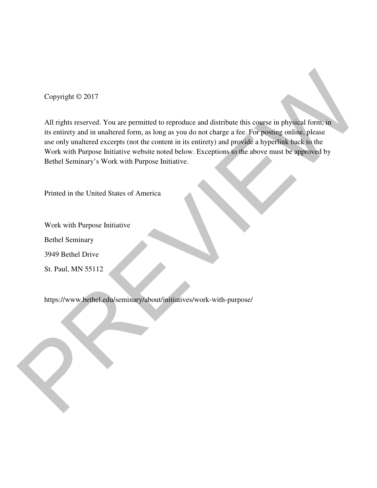Copyright © 2017

All rights reserved. You are permitted to reproduce and distribute this course in physical form, in its entirety and in unaltered form, as long as you do not charge a fee. For posting online, please use only unaltered excerpts (not the content in its entirety) and provide a hyperlink back to the Work with Purpose Initiative website noted below. Exceptions to the above must be approved by Bethel Seminary's Work with Purpose Initiative. Copyright  $\odot$  2017<br>
All rights reserved. You are permitted to reproduce and distribute this course in physical form, in<br>
its entirety and in unattered form, as long as you do not charge a fee, For popens online, phead<br>

Printed in the United States of America

Work with Purpose Initiative

Bethel Seminary

3949 Bethel Drive

St. Paul, MN 55112

https://www.bethel.edu/seminary/about/initiatives/work-with-purpose/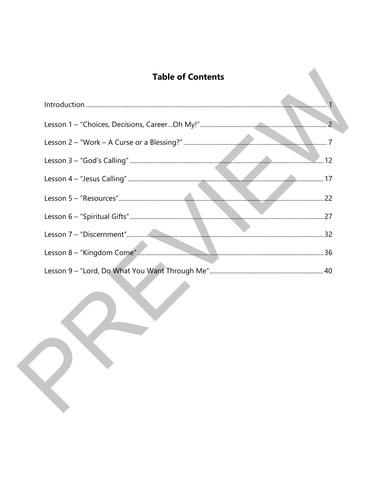#### **Table of Contents**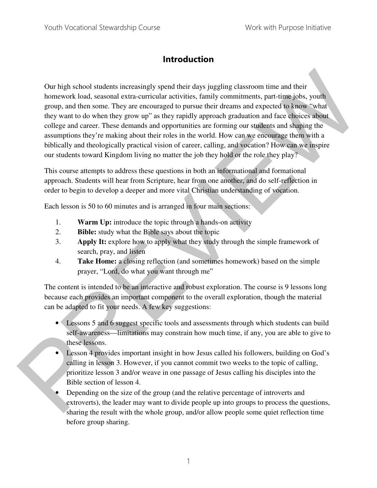#### **Introduction**

Our high school students increasingly spend their days juggling classroom time and their homework load, seasonal extra-curricular activities, family commitments, part-time jobs, youth group, and then some. They are encouraged to pursue their dreams and expected to know "what they want to do when they grow up" as they rapidly approach graduation and face choices about college and career. These demands and opportunities are forming our students and shaping the assumptions they're making about their roles in the world. How can we encourage them with a biblically and theologically practical vision of career, calling, and vocation? How can we inspire our students toward Kingdom living no matter the job they hold or the role they play? Our high school students increasingly spend their day sjuggling classroon time and their<br>homework load, scasonal extra-euricaliar activities, family commitments, part-fine jobs, youth<br>group, and then some. They are nonove

This course attempts to address these questions in both an informational and formational approach. Students will hear from Scripture, hear from one another, and do self-reflection in order to begin to develop a deeper and more vital Christian understanding of vocation.

Each lesson is 50 to 60 minutes and is arranged in four main sections:

- 1. **Warm Up:** introduce the topic through a hands-on activity
- 2. **Bible:** study what the Bible says about the topic
- 3. **Apply It:** explore how to apply what they study through the simple framework of search, pray, and listen
- 4. **Take Home:** a closing reflection (and sometimes homework) based on the simple prayer, "Lord, do what you want through me"

The content is intended to be an interactive and robust exploration. The course is 9 lessons long because each provides an important component to the overall exploration, though the material can be adapted to fit your needs. A few key suggestions:

- Lessons 5 and 6 suggest specific tools and assessments through which students can build self-awareness—limitations may constrain how much time, if any, you are able to give to these lessons.
- Lesson 4 provides important insight in how Jesus called his followers, building on God's calling in lesson 3. However, if you cannot commit two weeks to the topic of calling, prioritize lesson 3 and/or weave in one passage of Jesus calling his disciples into the Bible section of lesson 4.
- Depending on the size of the group (and the relative percentage of introverts and extroverts), the leader may want to divide people up into groups to process the questions, sharing the result with the whole group, and/or allow people some quiet reflection time before group sharing.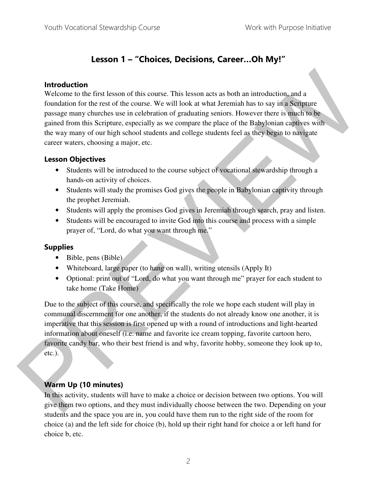#### **Lesson 1 – "Choices, Decisions, Career…Oh My!"**

#### **Introduction**

Welcome to the first lesson of this course. This lesson acts as both an introduction, and a foundation for the rest of the course. We will look at what Jeremiah has to say in a Scripture passage many churches use in celebration of graduating seniors. However there is much to be gained from this Scripture, especially as we compare the place of the Babylonian captives with the way many of our high school students and college students feel as they begin to navigate career waters, choosing a major, etc. **Introduction**<br>
Welcome to the rist tesson of this cause. This lesson acts as both an introduction, and a<br>
Welcome to the rest of the curre. We will look at what Jeremiah has to say in a Serbure<br>
passage many charence see

#### **Lesson Objectives**

- Students will be introduced to the course subject of vocational stewardship through a hands-on activity of choices.
- Students will study the promises God gives the people in Babylonian captivity through the prophet Jeremiah.
- Students will apply the promises God gives in Jeremiah through search, pray and listen.
- Students will be encouraged to invite God into this course and process with a simple prayer of, "Lord, do what you want through me."

#### **Supplies**

- Bible, pens (Bible)
- Whiteboard, large paper (to hang on wall), writing utensils (Apply It)
- Optional: print out of "Lord, do what you want through me" prayer for each student to take home (Take Home)

Due to the subject of this course, and specifically the role we hope each student will play in communal discernment for one another, if the students do not already know one another, it is imperative that this session is first opened up with a round of introductions and light-hearted information about oneself (i.e. name and favorite ice cream topping, favorite cartoon hero, favorite candy bar, who their best friend is and why, favorite hobby, someone they look up to, etc.).

#### **Warm Up (10 minutes)**

In this activity, students will have to make a choice or decision between two options. You will give them two options, and they must individually choose between the two. Depending on your students and the space you are in, you could have them run to the right side of the room for choice (a) and the left side for choice (b), hold up their right hand for choice a or left hand for choice b, etc.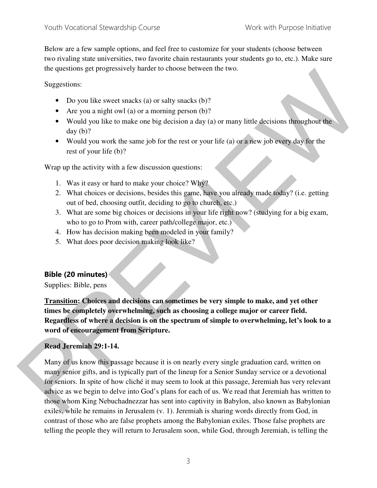Below are a few sample options, and feel free to customize for your students (choose between two rivaling state universities, two favorite chain restaurants your students go to, etc.). Make sure the questions get progressively harder to choose between the two.

Suggestions:

- Do you like sweet snacks (a) or salty snacks (b)?
- Are you a night owl (a) or a morning person (b)?
- Would you like to make one big decision a day (a) or many little decisions throughout the day (b)?
- Would you work the same job for the rest or your life (a) or a new job every day for the rest of your life (b)?

Wrap up the activity with a few discussion questions:

- 1. Was it easy or hard to make your choice? Why?
- 2. What choices or decisions, besides this game, have you already made today? (i.e. getting out of bed, choosing outfit, deciding to go to church, etc.)
- 3. What are some big choices or decisions in your life right now? (studying for a big exam, who to go to Prom with, career path/college major, etc.)
- 4. How has decision making been modeled in your family?
- 5. What does poor decision making look like?

#### **Bible (20 minutes)**

Supplies: Bible, pens

**Transition: Choices and decisions can sometimes be very simple to make, and yet other times be completely overwhelming, such as choosing a college major or career field. Regardless of where a decision is on the spectrum of simple to overwhelming, let's look to a word of encouragement from Scripture.** 

#### **Read Jeremiah 29:1-14.**

Many of us know this passage because it is on nearly every single graduation card, written on many senior gifts, and is typically part of the lineup for a Senior Sunday service or a devotional for seniors. In spite of how cliché it may seem to look at this passage, Jeremiah has very relevant advice as we begin to delve into God's plans for each of us. We read that Jeremiah has written to those whom King Nebuchadnezzar has sent into captivity in Babylon, also known as Babylonian exiles, while he remains in Jerusalem (v. 1). Jeremiah is sharing words directly from God, in contrast of those who are false prophets among the Babylonian exiles. Those false prophets are telling the people they will return to Jerusalem soon, while God, through Jeremiah, is telling the In guestions get progressively matter to choose between the two.<br>
Suggestions can be positive sweet stacks (a) or sally snacks (b)?<br>
• For you in right revi (a) or a morning person (b)?<br>
• World you in the tormatic one hi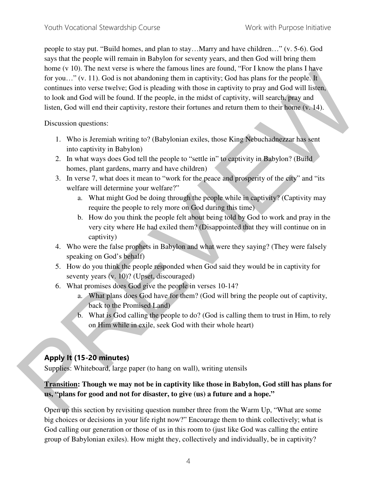people to stay put. "Build homes, and plan to stay…Marry and have children…" (v. 5-6). God says that the people will remain in Babylon for seventy years, and then God will bring them home (v 10). The next verse is where the famous lines are found, "For I know the plans I have for you..." (v. 11). God is not abandoning them in captivity; God has plans for the people. It continues into verse twelve; God is pleading with those in captivity to pray and God will listen, to look and God will be found. If the people, in the midst of captivity, will search, pray and listen, God will end their captivity, restore their fortunes and return them to their home (v. 14). none (v 10). In Brack venet to were the same in the same is once. The analysis of the propis in the continue is the continue of the control of the propis ( $\mu$ ) can be the control of the control of the control of the cont

Discussion questions:

- 1. Who is Jeremiah writing to? (Babylonian exiles, those King Nebuchadnezzar has sent into captivity in Babylon)
- 2. In what ways does God tell the people to "settle in" to captivity in Babylon? (Build homes, plant gardens, marry and have children)
- 3. In verse 7, what does it mean to "work for the peace and prosperity of the city" and "its welfare will determine your welfare?"
	- a. What might God be doing through the people while in captivity? (Captivity may require the people to rely more on God during this time)
	- b. How do you think the people felt about being told by God to work and pray in the very city where He had exiled them? (Disappointed that they will continue on in captivity)
- 4. Who were the false prophets in Babylon and what were they saying? (They were falsely speaking on God's behalf)
- 5. How do you think the people responded when God said they would be in captivity for seventy years (v. 10)? (Upset, discouraged)
- 6. What promises does God give the people in verses 10-14?
	- a. What plans does God have for them? (God will bring the people out of captivity, back to the Promised Land)
	- b. What is God calling the people to do? (God is calling them to trust in Him, to rely on Him while in exile, seek God with their whole heart)

#### **Apply It (15-20 minutes)**

Supplies: Whiteboard, large paper (to hang on wall), writing utensils

#### **Transition: Though we may not be in captivity like those in Babylon, God still has plans for us, "plans for good and not for disaster, to give (us) a future and a hope."**

Open up this section by revisiting question number three from the Warm Up, "What are some big choices or decisions in your life right now?" Encourage them to think collectively; what is God calling our generation or those of us in this room to (just like God was calling the entire group of Babylonian exiles). How might they, collectively and individually, be in captivity?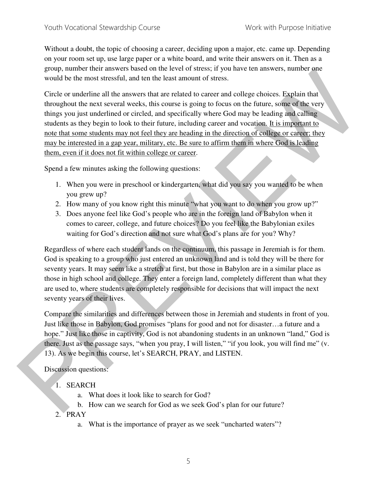Without a doubt, the topic of choosing a career, deciding upon a major, etc. came up. Depending on your room set up, use large paper or a white board, and write their answers on it. Then as a group, number their answers based on the level of stress; if you have ten answers, number one would be the most stressful, and ten the least amount of stress.

Circle or underline all the answers that are related to career and college choices. Explain that throughout the next several weeks, this course is going to focus on the future, some of the very things you just underlined or circled, and specifically where God may be leading and calling students as they begin to look to their future, including career and vocation. It is important to note that some students may not feel they are heading in the direction of college or career; they may be interested in a gap year, military, etc. Be sure to affirm them in where God is leading them, even if it does not fit within college or career. group, number that the time weak online term of the set of steals in your lane of the set of the set of the set of the set of the set of the set of the set of the set of the set of the set of the set of the set of the set

Spend a few minutes asking the following questions:

- 1. When you were in preschool or kindergarten, what did you say you wanted to be when you grew up?
- 2. How many of you know right this minute "what you want to do when you grow up?"
- 3. Does anyone feel like God's people who are in the foreign land of Babylon when it comes to career, college, and future choices? Do you feel like the Babylonian exiles waiting for God's direction and not sure what God's plans are for you? Why?

Regardless of where each student lands on the continuum, this passage in Jeremiah is for them. God is speaking to a group who just entered an unknown land and is told they will be there for seventy years. It may seem like a stretch at first, but those in Babylon are in a similar place as those in high school and college. They enter a foreign land, completely different than what they are used to, where students are completely responsible for decisions that will impact the next seventy years of their lives.

Compare the similarities and differences between those in Jeremiah and students in front of you. Just like those in Babylon, God promises "plans for good and not for disaster…a future and a hope." Just like those in captivity, God is not abandoning students in an unknown "land," God is there. Just as the passage says, "when you pray, I will listen," "if you look, you will find me" (v. 13). As we begin this course, let's SEARCH, PRAY, and LISTEN.

Discussion questions:

- 1. SEARCH
	- a. What does it look like to search for God?
	- b. How can we search for God as we seek God's plan for our future?

2. PRAY

a. What is the importance of prayer as we seek "uncharted waters"?